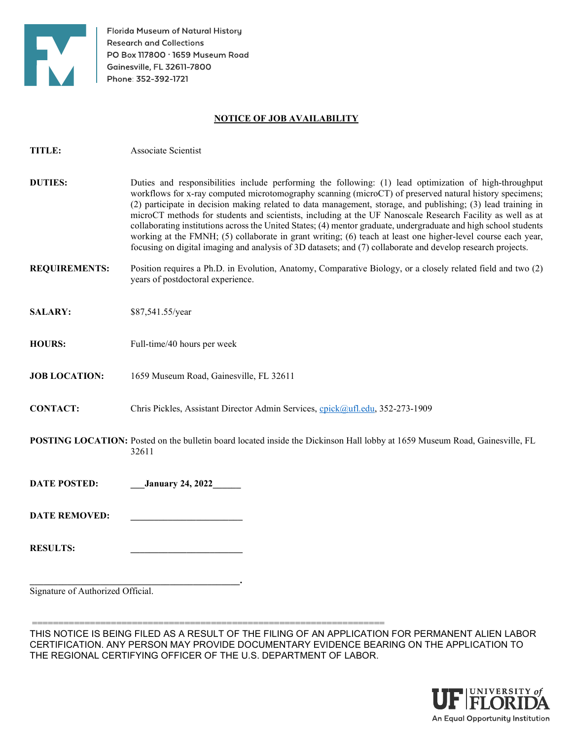

TITLE: Associate Scientist

Florida Museum of Natural History **Research and Collections** PO Box 117800 · 1659 Museum Road Gainesville, FL 32611-7800 Phone: 352-392-1721

## NOTICE OF JOB AVAILABILITY

| <b>DUTIES:</b>                    | Duties and responsibilities include performing the following: (1) lead optimization of high-throughput<br>workflows for x-ray computed microtomography scanning (microCT) of preserved natural history specimens;<br>(2) participate in decision making related to data management, storage, and publishing; (3) lead training in<br>microCT methods for students and scientists, including at the UF Nanoscale Research Facility as well as at<br>collaborating institutions across the United States; (4) mentor graduate, undergraduate and high school students<br>working at the FMNH; (5) collaborate in grant writing; (6) teach at least one higher-level course each year,<br>focusing on digital imaging and analysis of 3D datasets; and (7) collaborate and develop research projects. |
|-----------------------------------|----------------------------------------------------------------------------------------------------------------------------------------------------------------------------------------------------------------------------------------------------------------------------------------------------------------------------------------------------------------------------------------------------------------------------------------------------------------------------------------------------------------------------------------------------------------------------------------------------------------------------------------------------------------------------------------------------------------------------------------------------------------------------------------------------|
| <b>REQUIREMENTS:</b>              | Position requires a Ph.D. in Evolution, Anatomy, Comparative Biology, or a closely related field and two (2)<br>years of postdoctoral experience.                                                                                                                                                                                                                                                                                                                                                                                                                                                                                                                                                                                                                                                  |
| <b>SALARY:</b>                    | \$87,541.55/year                                                                                                                                                                                                                                                                                                                                                                                                                                                                                                                                                                                                                                                                                                                                                                                   |
| <b>HOURS:</b>                     | Full-time/40 hours per week                                                                                                                                                                                                                                                                                                                                                                                                                                                                                                                                                                                                                                                                                                                                                                        |
| <b>JOB LOCATION:</b>              | 1659 Museum Road, Gainesville, FL 32611                                                                                                                                                                                                                                                                                                                                                                                                                                                                                                                                                                                                                                                                                                                                                            |
| <b>CONTACT:</b>                   | Chris Pickles, Assistant Director Admin Services, cpick@ufl.edu, 352-273-1909                                                                                                                                                                                                                                                                                                                                                                                                                                                                                                                                                                                                                                                                                                                      |
|                                   | POSTING LOCATION: Posted on the bulletin board located inside the Dickinson Hall lobby at 1659 Museum Road, Gainesville, FL<br>32611                                                                                                                                                                                                                                                                                                                                                                                                                                                                                                                                                                                                                                                               |
| <b>DATE POSTED:</b>               | <b>January 24, 2022</b>                                                                                                                                                                                                                                                                                                                                                                                                                                                                                                                                                                                                                                                                                                                                                                            |
| <b>DATE REMOVED:</b>              |                                                                                                                                                                                                                                                                                                                                                                                                                                                                                                                                                                                                                                                                                                                                                                                                    |
| <b>RESULTS:</b>                   |                                                                                                                                                                                                                                                                                                                                                                                                                                                                                                                                                                                                                                                                                                                                                                                                    |
| Signature of Authorized Official. |                                                                                                                                                                                                                                                                                                                                                                                                                                                                                                                                                                                                                                                                                                                                                                                                    |

 =================================================================== THIS NOTICE IS BEING FILED AS A RESULT OF THE FILING OF AN APPLICATION FOR PERMANENT ALIEN LABOR CERTIFICATION. ANY PERSON MAY PROVIDE DOCUMENTARY EVIDENCE BEARING ON THE APPLICATION TO THE REGIONAL CERTIFYING OFFICER OF THE U.S. DEPARTMENT OF LABOR.